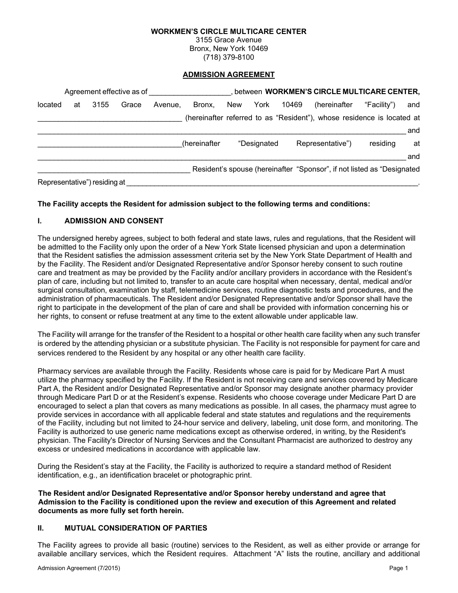#### **WORKMEN'S CIRCLE MULTICARE CENTER**

3155 Grace Avenue Bronx, New York 10469 (718) 379-8100

#### **ADMISSION AGREEMENT**

|         | Agreement effective as of |                              |       |         |              |     |             |       | between WORKMEN'S CIRCLE MULTICARE CENTER,                             |             |     |
|---------|---------------------------|------------------------------|-------|---------|--------------|-----|-------------|-------|------------------------------------------------------------------------|-------------|-----|
| located | at                        | 3155                         | Grace | Avenue. | Bronx.       | New | York        | 10469 | (hereinafter                                                           | "Facility") | and |
|         |                           |                              |       |         |              |     |             |       | (hereinafter referred to as "Resident"), whose residence is located at |             |     |
|         |                           |                              |       |         |              |     |             |       |                                                                        |             | and |
|         |                           |                              |       |         | (hereinafter |     | "Designated |       | Representative")                                                       | residing    | at  |
|         |                           |                              |       |         |              |     |             |       |                                                                        |             | and |
|         |                           |                              |       |         |              |     |             |       | Resident's spouse (hereinafter "Sponsor", if not listed as "Designated |             |     |
|         |                           | Representative") residing at |       |         |              |     |             |       |                                                                        |             |     |

#### **The Facility accepts the Resident for admission subject to the following terms and conditions:**

#### **I. ADMISSION AND CONSENT**

The undersigned hereby agrees, subject to both federal and state laws, rules and regulations, that the Resident will be admitted to the Facility only upon the order of a New York State licensed physician and upon a determination that the Resident satisfies the admission assessment criteria set by the New York State Department of Health and by the Facility. The Resident and/or Designated Representative and/or Sponsor hereby consent to such routine care and treatment as may be provided by the Facility and/or ancillary providers in accordance with the Resident's plan of care, including but not limited to, transfer to an acute care hospital when necessary, dental, medical and/or surgical consultation, examination by staff, telemedicine services, routine diagnostic tests and procedures, and the administration of pharmaceuticals. The Resident and/or Designated Representative and/or Sponsor shall have the right to participate in the development of the plan of care and shall be provided with information concerning his or her rights, to consent or refuse treatment at any time to the extent allowable under applicable law.

The Facility will arrange for the transfer of the Resident to a hospital or other health care facility when any such transfer is ordered by the attending physician or a substitute physician. The Facility is not responsible for payment for care and services rendered to the Resident by any hospital or any other health care facility.

Pharmacy services are available through the Facility. Residents whose care is paid for by Medicare Part A must utilize the pharmacy specified by the Facility. If the Resident is not receiving care and services covered by Medicare Part A, the Resident and/or Designated Representative and/or Sponsor may designate another pharmacy provider through Medicare Part D or at the Resident's expense. Residents who choose coverage under Medicare Part D are encouraged to select a plan that covers as many medications as possible. In all cases, the pharmacy must agree to provide services in accordance with all applicable federal and state statutes and regulations and the requirements of the Facility, including but not limited to 24-hour service and delivery, labeling, unit dose form, and monitoring. The Facility is authorized to use generic name medications except as otherwise ordered, in writing, by the Resident's physician. The Facility's Director of Nursing Services and the Consultant Pharmacist are authorized to destroy any excess or undesired medications in accordance with applicable law.

During the Resident's stay at the Facility, the Facility is authorized to require a standard method of Resident identification, e.g., an identification bracelet or photographic print.

**The Resident and/or Designated Representative and/or Sponsor hereby understand and agree that Admission to the Facility is conditioned upon the review and execution of this Agreement and related documents as more fully set forth herein.**

#### **II. MUTUAL CONSIDERATION OF PARTIES**

The Facility agrees to provide all basic (routine) services to the Resident, as well as either provide or arrange for available ancillary services, which the Resident requires. Attachment "A" lists the routine, ancillary and additional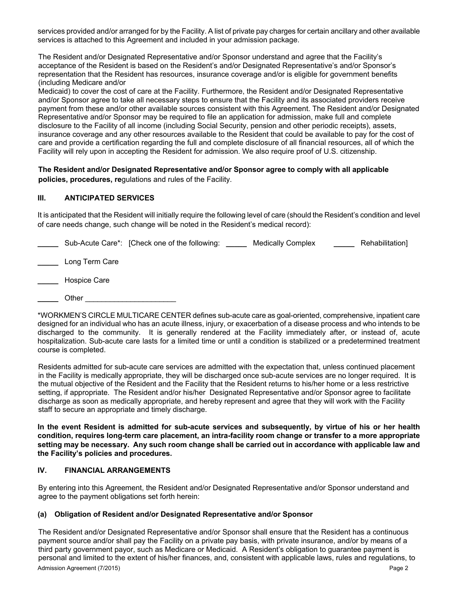services provided and/or arranged for by the Facility. A list of private pay charges for certain ancillary and other available services is attached to this Agreement and included in your admission package.

The Resident and/or Designated Representative and/or Sponsor understand and agree that the Facility's acceptance of the Resident is based on the Resident's and/or Designated Representative's and/or Sponsor's representation that the Resident has resources, insurance coverage and/or is eligible for government benefits (including Medicare and/or

Medicaid) to cover the cost of care at the Facility. Furthermore, the Resident and/or Designated Representative and/or Sponsor agree to take all necessary steps to ensure that the Facility and its associated providers receive payment from these and/or other available sources consistent with this Agreement. The Resident and/or Designated Representative and/or Sponsor may be required to file an application for admission, make full and complete disclosure to the Facility of all income (including Social Security, pension and other periodic receipts), assets, insurance coverage and any other resources available to the Resident that could be available to pay for the cost of care and provide a certification regarding the full and complete disclosure of all financial resources, all of which the Facility will rely upon in accepting the Resident for admission. We also require proof of U.S. citizenship.

**The Resident and/or Designated Representative and/or Sponsor agree to comply with all applicable policies, procedures, re**gulations and rules of the Facility.

# **III. ANTICIPATED SERVICES**

It is anticipated that the Resident will initially require the following level of care (should the Resident's condition and level of care needs change, such change will be noted in the Resident's medical record):

|                | Sub-Acute Care*: [Check one of the following: | <b>Medically Complex</b> | Rehabilitation] |
|----------------|-----------------------------------------------|--------------------------|-----------------|
| Long Term Care |                                               |                          |                 |
| Hospice Care   |                                               |                          |                 |

**\_\_\_\_\_** Other \_\_\_\_\_\_\_\_\_\_\_\_\_\_\_\_\_\_\_\_\_\_

\*WORKMEN'S CIRCLE MULTICARE CENTER defines sub-acute care as goal-oriented, comprehensive, inpatient care designed for an individual who has an acute illness, injury, or exacerbation of a disease process and who intends to be discharged to the community. It is generally rendered at the Facility immediately after, or instead of, acute hospitalization. Sub-acute care lasts for a limited time or until a condition is stabilized or a predetermined treatment course is completed.

Residents admitted for sub-acute care services are admitted with the expectation that, unless continued placement in the Facility is medically appropriate, they will be discharged once sub-acute services are no longer required. It is the mutual objective of the Resident and the Facility that the Resident returns to his/her home or a less restrictive setting, if appropriate. The Resident and/or his/her Designated Representative and/or Sponsor agree to facilitate discharge as soon as medically appropriate, and hereby represent and agree that they will work with the Facility staff to secure an appropriate and timely discharge.

**In the event Resident is admitted for sub-acute services and subsequently, by virtue of his or her health condition, requires long-term care placement, an intra-facility room change or transfer to a more appropriate setting may be necessary. Any such room change shall be carried out in accordance with applicable law and the Facility's policies and procedures.**

## **IV. FINANCIAL ARRANGEMENTS**

By entering into this Agreement, the Resident and/or Designated Representative and/or Sponsor understand and agree to the payment obligations set forth herein:

# **(a) Obligation of Resident and/or Designated Representative and/or Sponsor**

Admission Agreement (7/2015) Page 2 The Resident and/or Designated Representative and/or Sponsor shall ensure that the Resident has a continuous payment source and/or shall pay the Facility on a private pay basis, with private insurance, and/or by means of a third party government payor, such as Medicare or Medicaid. A Resident's obligation to guarantee payment is personal and limited to the extent of his/her finances, and, consistent with applicable laws, rules and regulations, to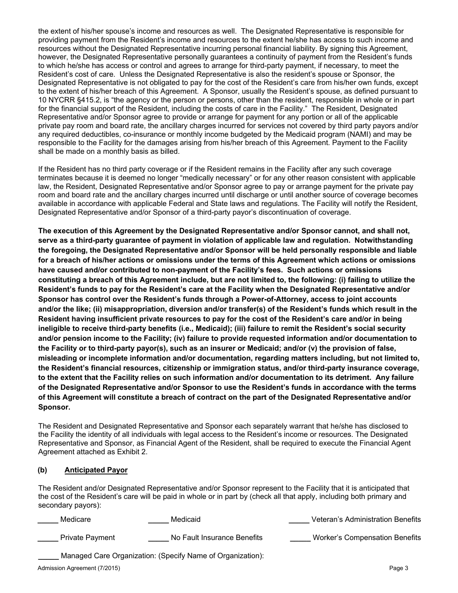the extent of his/her spouse's income and resources as well. The Designated Representative is responsible for providing payment from the Resident's income and resources to the extent he/she has access to such income and resources without the Designated Representative incurring personal financial liability. By signing this Agreement, however, the Designated Representative personally guarantees a continuity of payment from the Resident's funds to which he/she has access or control and agrees to arrange for third-party payment, if necessary, to meet the Resident's cost of care. Unless the Designated Representative is also the resident's spouse or Sponsor, the Designated Representative is not obligated to pay for the cost of the Resident's care from his/her own funds, except to the extent of his/her breach of this Agreement. A Sponsor, usually the Resident's spouse, as defined pursuant to 10 NYCRR §415.2, is "the agency or the person or persons, other than the resident, responsible in whole or in part for the financial support of the Resident, including the costs of care in the Facility." The Resident, Designated Representative and/or Sponsor agree to provide or arrange for payment for any portion or all of the applicable private pay room and board rate, the ancillary charges incurred for services not covered by third party payors and/or any required deductibles, co-insurance or monthly income budgeted by the Medicaid program (NAMI) and may be responsible to the Facility for the damages arising from his/her breach of this Agreement. Payment to the Facility shall be made on a monthly basis as billed.

If the Resident has no third party coverage or if the Resident remains in the Facility after any such coverage terminates because it is deemed no longer "medically necessary" or for any other reason consistent with applicable law, the Resident, Designated Representative and/or Sponsor agree to pay or arrange payment for the private pay room and board rate and the ancillary charges incurred until discharge or until another source of coverage becomes available in accordance with applicable Federal and State laws and regulations. The Facility will notify the Resident, Designated Representative and/or Sponsor of a third-party payor's discontinuation of coverage.

**The execution of this Agreement by the Designated Representative and/or Sponsor cannot, and shall not, serve as a third-party guarantee of payment in violation of applicable law and regulation. Notwithstanding the foregoing, the Designated Representative and/or Sponsor will be held personally responsible and liable for a breach of his/her actions or omissions under the terms of this Agreement which actions or omissions have caused and/or contributed to non-payment of the Facility's fees. Such actions or omissions constituting a breach of this Agreement include, but are not limited to, the following: (i) failing to utilize the Resident's funds to pay for the Resident's care at the Facility when the Designated Representative and/or Sponsor has control over the Resident's funds through a Power-of-Attorney, access to joint accounts and/or the like; (ii) misappropriation, diversion and/or transfer(s) of the Resident's funds which result in the Resident having insufficient private resources to pay for the cost of the Resident's care and/or in being ineligible to receive third-party benefits (i.e., Medicaid); (iii) failure to remit the Resident's social security and/or pension income to the Facility; (iv) failure to provide requested information and/or documentation to the Facility or to third-party payor(s), such as an insurer or Medicaid; and/or (v) the provision of false, misleading or incomplete information and/or documentation, regarding matters including, but not limited to, the Resident's financial resources, citizenship or immigration status, and/or third-party insurance coverage, to the extent that the Facility relies on such information and/or documentation to its detriment. Any failure of the Designated Representative and/or Sponsor to use the Resident's funds in accordance with the terms of this Agreement will constitute a breach of contract on the part of the Designated Representative and/or Sponsor.** 

The Resident and Designated Representative and Sponsor each separately warrant that he/she has disclosed to the Facility the identity of all individuals with legal access to the Resident's income or resources. The Designated Representative and Sponsor, as Financial Agent of the Resident, shall be required to execute the Financial Agent Agreement attached as Exhibit 2.

## **(b) Anticipated Payor**

The Resident and/or Designated Representative and/or Sponsor represent to the Facility that it is anticipated that the cost of the Resident's care will be paid in whole or in part by (check all that apply, including both primary and secondary payors):

| Medicare               | Medicaid                                                   | Veteran's Administration Benefits     |
|------------------------|------------------------------------------------------------|---------------------------------------|
| <b>Private Payment</b> | No Fault Insurance Benefits                                | <b>Worker's Compensation Benefits</b> |
|                        | Managed Care Organization: (Specify Name of Organization): |                                       |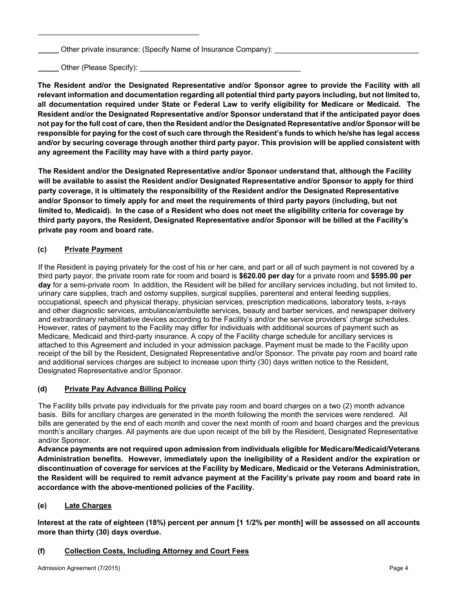Other private insurance: (Specify Name of Insurance Company):

**\_\_\_\_\_** Other (Please Specify): \_\_\_\_\_\_\_\_\_\_\_\_\_\_\_\_\_\_\_\_\_\_\_\_\_\_\_\_\_\_\_\_\_\_\_\_\_\_\_

 $\mathcal{L}_\text{max}$  and  $\mathcal{L}_\text{max}$  and  $\mathcal{L}_\text{max}$  and  $\mathcal{L}_\text{max}$ 

**The Resident and/or the Designated Representative and/or Sponsor agree to provide the Facility with all relevant information and documentation regarding all potential third party payors including, but not limited to, all documentation required under State or Federal Law to verify eligibility for Medicare or Medicaid. The Resident and/or the Designated Representative and/or Sponsor understand that if the anticipated payor does not pay for the full cost of care, then the Resident and/or the Designated Representative and/or Sponsor will be responsible for paying for the cost of such care through the Resident's funds to which he/she has legal access and/or by securing coverage through another third party payor. This provision will be applied consistent with any agreement the Facility may have with a third party payor.** 

**The Resident and/or the Designated Representative and/or Sponsor understand that, although the Facility will be available to assist the Resident and/or Designated Representative and/or Sponsor to apply for third party coverage, it is ultimately the responsibility of the Resident and/or the Designated Representative and/or Sponsor to timely apply for and meet the requirements of third party payors (including, but not limited to, Medicaid). In the case of a Resident who does not meet the eligibility criteria for coverage by third party payors, the Resident, Designated Representative and/or Sponsor will be billed at the Facility's private pay room and board rate.** 

# **(c) Private Payment**

If the Resident is paying privately for the cost of his or her care, and part or all of such payment is not covered by a third party payor, the private room rate for room and board is **\$620.00 per day** for a private room and **\$595.00 per day** for a semi-private room In addition, the Resident will be billed for ancillary services including, but not limited to, urinary care supplies, trach and ostomy supplies, surgical supplies, parenteral and enteral feeding supplies, occupational, speech and physical therapy, physician services, prescription medications, laboratory tests, x-rays and other diagnostic services, ambulance/ambulette services, beauty and barber services, and newspaper delivery and extraordinary rehabilitative devices according to the Facility's and/or the service providers' charge schedules. However, rates of payment to the Facility may differ for individuals with additional sources of payment such as Medicare, Medicaid and third-party insurance. A copy of the Facility charge schedule for ancillary services is attached to this Agreement and included in your admission package. Payment must be made to the Facility upon receipt of the bill by the Resident, Designated Representative and/or Sponsor. The private pay room and board rate and additional services charges are subject to increase upon thirty (30) days written notice to the Resident, Designated Representative and/or Sponsor.

## **(d) Private Pay Advance Billing Policy**

The Facility bills private pay individuals for the private pay room and board charges on a two (2) month advance basis. Bills for ancillary charges are generated in the month following the month the services were rendered. All bills are generated by the end of each month and cover the next month of room and board charges and the previous month's ancillary charges. All payments are due upon receipt of the bill by the Resident, Designated Representative and/or Sponsor.

**Advance payments are not required upon admission from individuals eligible for Medicare/Medicaid/Veterans Administration benefits. However, immediately upon the ineligibility of a Resident and/or the expiration or discontinuation of coverage for services at the Facility by Medicare, Medicaid or the Veterans Administration, the Resident will be required to remit advance payment at the Facility's private pay room and board rate in accordance with the above-mentioned policies of the Facility.**

## **(e) Late Charges**

**Interest at the rate of eighteen (18%) percent per annum [1 1/2% per month] will be assessed on all accounts more than thirty (30) days overdue.** 

## **(f) Collection Costs, Including Attorney and Court Fees**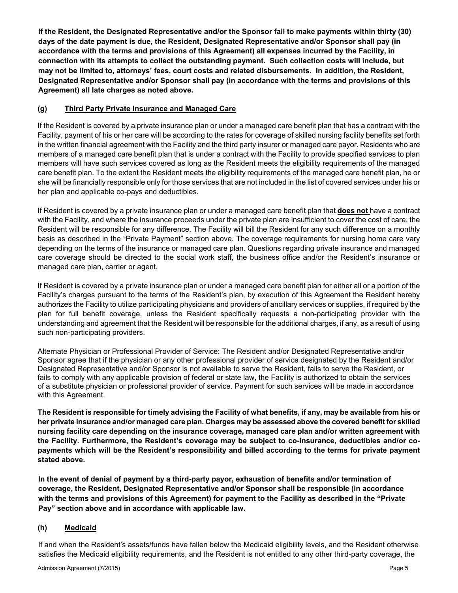**If the Resident, the Designated Representative and/or the Sponsor fail to make payments within thirty (30) days of the date payment is due, the Resident, Designated Representative and/or Sponsor shall pay (in accordance with the terms and provisions of this Agreement) all expenses incurred by the Facility, in connection with its attempts to collect the outstanding payment. Such collection costs will include, but may not be limited to, attorneys' fees, court costs and related disbursements. In addition, the Resident, Designated Representative and/or Sponsor shall pay (in accordance with the terms and provisions of this Agreement) all late charges as noted above.**

## **(g) Third Party Private Insurance and Managed Care**

If the Resident is covered by a private insurance plan or under a managed care benefit plan that has a contract with the Facility, payment of his or her care will be according to the rates for coverage of skilled nursing facility benefits set forth in the written financial agreement with the Facility and the third party insurer or managed care payor. Residents who are members of a managed care benefit plan that is under a contract with the Facility to provide specified services to plan members will have such services covered as long as the Resident meets the eligibility requirements of the managed care benefit plan. To the extent the Resident meets the eligibility requirements of the managed care benefit plan, he or she will be financially responsible only for those services that are not included in the list of covered services under his or her plan and applicable co-pays and deductibles.

If Resident is covered by a private insurance plan or under a managed care benefit plan that **does not** have a contract with the Facility, and where the insurance proceeds under the private plan are insufficient to cover the cost of care, the Resident will be responsible for any difference. The Facility will bill the Resident for any such difference on a monthly basis as described in the "Private Payment" section above. The coverage requirements for nursing home care vary depending on the terms of the insurance or managed care plan. Questions regarding private insurance and managed care coverage should be directed to the social work staff, the business office and/or the Resident's insurance or managed care plan, carrier or agent.

If Resident is covered by a private insurance plan or under a managed care benefit plan for either all or a portion of the Facility's charges pursuant to the terms of the Resident's plan, by execution of this Agreement the Resident hereby authorizes the Facility to utilize participating physicians and providers of ancillary services or supplies, if required by the plan for full benefit coverage, unless the Resident specifically requests a non-participating provider with the understanding and agreement that the Resident will be responsible for the additional charges, if any, as a result of using such non-participating providers.

Alternate Physician or Professional Provider of Service: The Resident and/or Designated Representative and/or Sponsor agree that if the physician or any other professional provider of service designated by the Resident and/or Designated Representative and/or Sponsor is not available to serve the Resident, fails to serve the Resident, or fails to comply with any applicable provision of federal or state law, the Facility is authorized to obtain the services of a substitute physician or professional provider of service. Payment for such services will be made in accordance with this Agreement.

**The Resident is responsible for timely advising the Facility of what benefits, if any, may be available from his or her private insurance and/or managed care plan. Charges may be assessed above the covered benefit for skilled nursing facility care depending on the insurance coverage, managed care plan and/or written agreement with the Facility. Furthermore, the Resident's coverage may be subject to co-insurance, deductibles and/or copayments which will be the Resident's responsibility and billed according to the terms for private payment stated above.** 

**In the event of denial of payment by a third-party payor, exhaustion of benefits and/or termination of coverage, the Resident, Designated Representative and/or Sponsor shall be responsible (in accordance with the terms and provisions of this Agreement) for payment to the Facility as described in the "Private Pay" section above and in accordance with applicable law.** 

## **(h) Medicaid**

If and when the Resident's assets/funds have fallen below the Medicaid eligibility levels, and the Resident otherwise satisfies the Medicaid eligibility requirements, and the Resident is not entitled to any other third-party coverage, the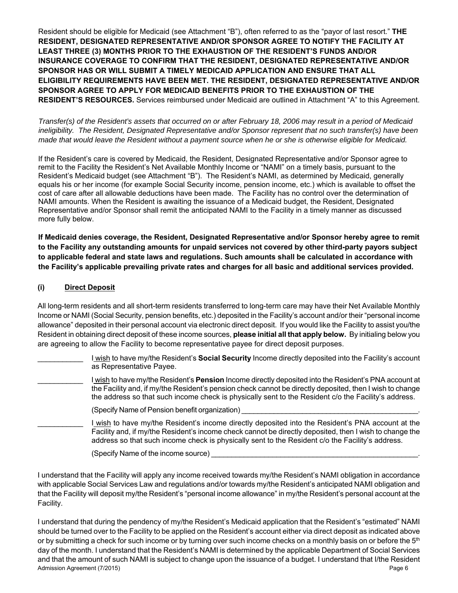Resident should be eligible for Medicaid (see Attachment "B"), often referred to as the "payor of last resort." **THE RESIDENT, DESIGNATED REPRESENTATIVE AND/OR SPONSOR AGREE TO NOTIFY THE FACILITY AT LEAST THREE (3) MONTHS PRIOR TO THE EXHAUSTION OF THE RESIDENT'S FUNDS AND/OR INSURANCE COVERAGE TO CONFIRM THAT THE RESIDENT, DESIGNATED REPRESENTATIVE AND/OR SPONSOR HAS OR WILL SUBMIT A TIMELY MEDICAID APPLICATION AND ENSURE THAT ALL ELIGIBILITY REQUIREMENTS HAVE BEEN MET. THE RESIDENT, DESIGNATED REPRESENTATIVE AND/OR SPONSOR AGREE TO APPLY FOR MEDICAID BENEFITS PRIOR TO THE EXHAUSTION OF THE RESIDENT'S RESOURCES.** Services reimbursed under Medicaid are outlined in Attachment "A" to this Agreement.

*Transfer(s) of the Resident's assets that occurred on or after February 18, 2006 may result in a period of Medicaid ineligibility. The Resident, Designated Representative and/or Sponsor represent that no such transfer(s) have been made that would leave the Resident without a payment source when he or she is otherwise eligible for Medicaid.* 

If the Resident's care is covered by Medicaid, the Resident, Designated Representative and/or Sponsor agree to remit to the Facility the Resident's Net Available Monthly Income or "NAMI" on a timely basis, pursuant to the Resident's Medicaid budget (see Attachment "B"). The Resident's NAMI, as determined by Medicaid, generally equals his or her income (for example Social Security income, pension income, etc.) which is available to offset the cost of care after all allowable deductions have been made. The Facility has no control over the determination of NAMI amounts. When the Resident is awaiting the issuance of a Medicaid budget, the Resident, Designated Representative and/or Sponsor shall remit the anticipated NAMI to the Facility in a timely manner as discussed more fully below.

**If Medicaid denies coverage, the Resident, Designated Representative and/or Sponsor hereby agree to remit to the Facility any outstanding amounts for unpaid services not covered by other third-party payors subject to applicable federal and state laws and regulations. Such amounts shall be calculated in accordance with the Facility's applicable prevailing private rates and charges for all basic and additional services provided.** 

# **(i) Direct Deposit**

All long-term residents and all short-term residents transferred to long-term care may have their Net Available Monthly Income or NAMI (Social Security, pension benefits, etc.) deposited in the Facility's account and/or their "personal income allowance" deposited in their personal account via electronic direct deposit. If you would like the Facility to assist you/the Resident in obtaining direct deposit of these income sources, **please initial all that apply below.** By initialing below you are agreeing to allow the Facility to become representative payee for direct deposit purposes.

- \_\_\_\_\_\_\_\_\_\_\_ I wish to have my/the Resident's **Social Security** Income directly deposited into the Facility's account as Representative Payee.
	- \_\_\_\_\_\_\_\_\_\_\_ I wish to have my/the Resident's **Pension** Income directly deposited into the Resident's PNA account at the Facility and, if my/the Resident's pension check cannot be directly deposited, then I wish to change the address so that such income check is physically sent to the Resident c/o the Facility's address.
		- (Specify Name of Pension benefit organization)
		- I wish to have my/the Resident's income directly deposited into the Resident's PNA account at the Facility and, if my/the Resident's income check cannot be directly deposited, then I wish to change the address so that such income check is physically sent to the Resident c/o the Facility's address.
			- (Specify Name of the income source)

I understand that the Facility will apply any income received towards my/the Resident's NAMI obligation in accordance with applicable Social Services Law and regulations and/or towards my/the Resident's anticipated NAMI obligation and that the Facility will deposit my/the Resident's "personal income allowance" in my/the Resident's personal account at the Facility.

Admission Agreement (7/2015) Page 6 I understand that during the pendency of my/the Resident's Medicaid application that the Resident's "estimated" NAMI should be turned over to the Facility to be applied on the Resident's account either via direct deposit as indicated above or by submitting a check for such income or by turning over such income checks on a monthly basis on or before the  $5<sup>th</sup>$ day of the month. I understand that the Resident's NAMI is determined by the applicable Department of Social Services and that the amount of such NAMI is subject to change upon the issuance of a budget. I understand that I/the Resident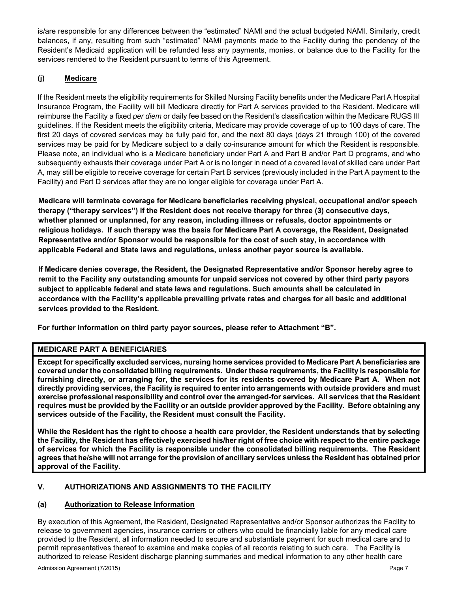is/are responsible for any differences between the "estimated" NAMI and the actual budgeted NAMI. Similarly, credit balances, if any, resulting from such "estimated" NAMI payments made to the Facility during the pendency of the Resident's Medicaid application will be refunded less any payments, monies, or balance due to the Facility for the services rendered to the Resident pursuant to terms of this Agreement.

# **(j) Medicare**

If the Resident meets the eligibility requirements for Skilled Nursing Facility benefits under the Medicare Part A Hospital Insurance Program, the Facility will bill Medicare directly for Part A services provided to the Resident. Medicare will reimburse the Facility a fixed *per diem* or daily fee based on the Resident's classification within the Medicare RUGS III guidelines. If the Resident meets the eligibility criteria, Medicare may provide coverage of up to 100 days of care. The first 20 days of covered services may be fully paid for, and the next 80 days (days 21 through 100) of the covered services may be paid for by Medicare subject to a daily co-insurance amount for which the Resident is responsible. Please note, an individual who is a Medicare beneficiary under Part A and Part B and/or Part D programs, and who subsequently exhausts their coverage under Part A or is no longer in need of a covered level of skilled care under Part A, may still be eligible to receive coverage for certain Part B services (previously included in the Part A payment to the Facility) and Part D services after they are no longer eligible for coverage under Part A.

**Medicare will terminate coverage for Medicare beneficiaries receiving physical, occupational and/or speech therapy ("therapy services") if the Resident does not receive therapy for three (3) consecutive days, whether planned or unplanned, for any reason, including illness or refusals, doctor appointments or religious holidays. If such therapy was the basis for Medicare Part A coverage, the Resident, Designated Representative and/or Sponsor would be responsible for the cost of such stay, in accordance with applicable Federal and State laws and regulations, unless another payor source is available.** 

**If Medicare denies coverage, the Resident, the Designated Representative and/or Sponsor hereby agree to remit to the Facility any outstanding amounts for unpaid services not covered by other third party payors subject to applicable federal and state laws and regulations. Such amounts shall be calculated in accordance with the Facility's applicable prevailing private rates and charges for all basic and additional services provided to the Resident.** 

**For further information on third party payor sources, please refer to Attachment "B".** 

## **MEDICARE PART A BENEFICIARIES**

**Except for specifically excluded services, nursing home services provided to Medicare Part A beneficiaries are covered under the consolidated billing requirements. Under these requirements, the Facility is responsible for furnishing directly, or arranging for, the services for its residents covered by Medicare Part A. When not directly providing services, the Facility is required to enter into arrangements with outside providers and must exercise professional responsibility and control over the arranged-for services. All services that the Resident requires must be provided by the Facility or an outside provider approved by the Facility. Before obtaining any services outside of the Facility, the Resident must consult the Facility.** 

**While the Resident has the right to choose a health care provider, the Resident understands that by selecting the Facility, the Resident has effectively exercised his/her right of free choice with respect to the entire package of services for which the Facility is responsible under the consolidated billing requirements. The Resident agrees that he/she will not arrange for the provision of ancillary services unless the Resident has obtained prior approval of the Facility.** 

## **V. AUTHORIZATIONS AND ASSIGNMENTS TO THE FACILITY**

## **(a) Authorization to Release Information**

By execution of this Agreement, the Resident, Designated Representative and/or Sponsor authorizes the Facility to release to government agencies, insurance carriers or others who could be financially liable for any medical care provided to the Resident, all information needed to secure and substantiate payment for such medical care and to permit representatives thereof to examine and make copies of all records relating to such care. The Facility is authorized to release Resident discharge planning summaries and medical information to any other health care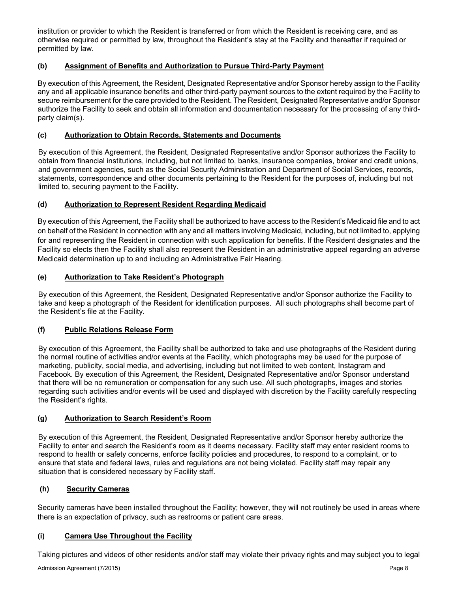institution or provider to which the Resident is transferred or from which the Resident is receiving care, and as otherwise required or permitted by law, throughout the Resident's stay at the Facility and thereafter if required or permitted by law.

# **(b) Assignment of Benefits and Authorization to Pursue Third-Party Payment**

By execution of this Agreement, the Resident, Designated Representative and/or Sponsor hereby assign to the Facility any and all applicable insurance benefits and other third-party payment sources to the extent required by the Facility to secure reimbursement for the care provided to the Resident. The Resident, Designated Representative and/or Sponsor authorize the Facility to seek and obtain all information and documentation necessary for the processing of any thirdparty claim(s).

## **(c) Authorization to Obtain Records, Statements and Documents**

By execution of this Agreement, the Resident, Designated Representative and/or Sponsor authorizes the Facility to obtain from financial institutions, including, but not limited to, banks, insurance companies, broker and credit unions, and government agencies, such as the Social Security Administration and Department of Social Services, records, statements, correspondence and other documents pertaining to the Resident for the purposes of, including but not limited to, securing payment to the Facility.

# **(d) Authorization to Represent Resident Regarding Medicaid**

By execution of this Agreement, the Facility shall be authorized to have access to the Resident's Medicaid file and to act on behalf of the Resident in connection with any and all matters involving Medicaid, including, but not limited to, applying for and representing the Resident in connection with such application for benefits. If the Resident designates and the Facility so elects then the Facility shall also represent the Resident in an administrative appeal regarding an adverse Medicaid determination up to and including an Administrative Fair Hearing.

# **(e) Authorization to Take Resident's Photograph**

By execution of this Agreement, the Resident, Designated Representative and/or Sponsor authorize the Facility to take and keep a photograph of the Resident for identification purposes. All such photographs shall become part of the Resident's file at the Facility.

## **(f) Public Relations Release Form**

By execution of this Agreement, the Facility shall be authorized to take and use photographs of the Resident during the normal routine of activities and/or events at the Facility, which photographs may be used for the purpose of marketing, publicity, social media, and advertising, including but not limited to web content, Instagram and Facebook. By execution of this Agreement, the Resident, Designated Representative and/or Sponsor understand that there will be no remuneration or compensation for any such use. All such photographs, images and stories regarding such activities and/or events will be used and displayed with discretion by the Facility carefully respecting the Resident's rights.

# **(g) Authorization to Search Resident's Room**

By execution of this Agreement, the Resident, Designated Representative and/or Sponsor hereby authorize the Facility to enter and search the Resident's room as it deems necessary. Facility staff may enter resident rooms to respond to health or safety concerns, enforce facility policies and procedures, to respond to a complaint, or to ensure that state and federal laws, rules and regulations are not being violated. Facility staff may repair any situation that is considered necessary by Facility staff.

## **(h) Security Cameras**

Security cameras have been installed throughout the Facility; however, they will not routinely be used in areas where there is an expectation of privacy, such as restrooms or patient care areas.

## **(i) Camera Use Throughout the Facility**

Taking pictures and videos of other residents and/or staff may violate their privacy rights and may subject you to legal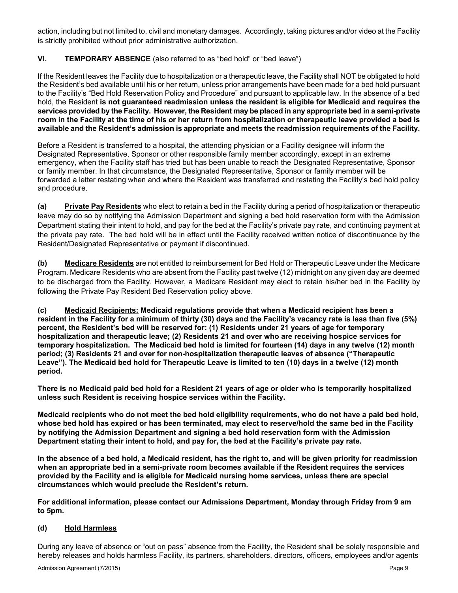action, including but not limited to, civil and monetary damages. Accordingly, taking pictures and/or video at the Facility is strictly prohibited without prior administrative authorization.

# **VI. TEMPORARY ABSENCE** (also referred to as "bed hold" or "bed leave")

If the Resident leaves the Facility due to hospitalization or a therapeutic leave, the Facility shall NOT be obligated to hold the Resident's bed available until his or her return, unless prior arrangements have been made for a bed hold pursuant to the Facility's "Bed Hold Reservation Policy and Procedure" and pursuant to applicable law. In the absence of a bed hold, the Resident **is not guaranteed readmission unless the resident is eligible for Medicaid and requires the services provided by the Facility. However, the Resident may be placed in any appropriate bed in a semi-private room in the Facility at the time of his or her return from hospitalization or therapeutic leave provided a bed is available and the Resident's admission is appropriate and meets the readmission requirements of the Facility.** 

Before a Resident is transferred to a hospital, the attending physician or a Facility designee will inform the Designated Representative, Sponsor or other responsible family member accordingly, except in an extreme emergency, when the Facility staff has tried but has been unable to reach the Designated Representative, Sponsor or family member. In that circumstance, the Designated Representative, Sponsor or family member will be forwarded a letter restating when and where the Resident was transferred and restating the Facility's bed hold policy and procedure.

**(a) Private Pay Residents** who elect to retain a bed in the Facility during a period of hospitalization or therapeutic leave may do so by notifying the Admission Department and signing a bed hold reservation form with the Admission Department stating their intent to hold, and pay for the bed at the Facility's private pay rate, and continuing payment at the private pay rate. The bed hold will be in effect until the Facility received written notice of discontinuance by the Resident/Designated Representative or payment if discontinued.

**(b) Medicare Residents** are not entitled to reimbursement for Bed Hold or Therapeutic Leave under the Medicare Program. Medicare Residents who are absent from the Facility past twelve (12) midnight on any given day are deemed to be discharged from the Facility. However, a Medicare Resident may elect to retain his/her bed in the Facility by following the Private Pay Resident Bed Reservation policy above.

**(c) Medicaid Recipients: Medicaid regulations provide that when a Medicaid recipient has been a resident in the Facility for a minimum of thirty (30) days and the Facility's vacancy rate is less than five (5%) percent, the Resident's bed will be reserved for: (1) Residents under 21 years of age for temporary hospitalization and therapeutic leave; (2) Residents 21 and over who are receiving hospice services for temporary hospitalization. The Medicaid bed hold is limited for fourteen (14) days in any twelve (12) month period; (3) Residents 21 and over for non-hospitalization therapeutic leaves of absence ("Therapeutic Leave"). The Medicaid bed hold for Therapeutic Leave is limited to ten (10) days in a twelve (12) month period.** 

**There is no Medicaid paid bed hold for a Resident 21 years of age or older who is temporarily hospitalized unless such Resident is receiving hospice services within the Facility.** 

**Medicaid recipients who do not meet the bed hold eligibility requirements, who do not have a paid bed hold, whose bed hold has expired or has been terminated, may elect to reserve/hold the same bed in the Facility by notifying the Admission Department and signing a bed hold reservation form with the Admission Department stating their intent to hold, and pay for, the bed at the Facility's private pay rate.** 

**In the absence of a bed hold, a Medicaid resident, has the right to, and will be given priority for readmission when an appropriate bed in a semi-private room becomes available if the Resident requires the services provided by the Facility and is eligible for Medicaid nursing home services, unless there are special circumstances which would preclude the Resident's return.** 

**For additional information, please contact our Admissions Department, Monday through Friday from 9 am to 5pm.** 

## **(d) Hold Harmless**

During any leave of absence or "out on pass" absence from the Facility, the Resident shall be solely responsible and hereby releases and holds harmless Facility, its partners, shareholders, directors, officers, employees and/or agents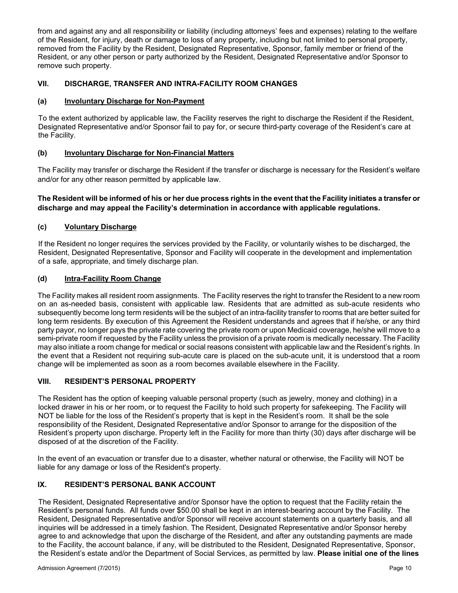from and against any and all responsibility or liability (including attorneys' fees and expenses) relating to the welfare of the Resident, for injury, death or damage to loss of any property, including but not limited to personal property, removed from the Facility by the Resident, Designated Representative, Sponsor, family member or friend of the Resident, or any other person or party authorized by the Resident, Designated Representative and/or Sponsor to remove such property.

# **VII. DISCHARGE, TRANSFER AND INTRA-FACILITY ROOM CHANGES**

## **(a) Involuntary Discharge for Non-Payment**

To the extent authorized by applicable law, the Facility reserves the right to discharge the Resident if the Resident, Designated Representative and/or Sponsor fail to pay for, or secure third-party coverage of the Resident's care at the Facility.

## **(b) Involuntary Discharge for Non-Financial Matters**

The Facility may transfer or discharge the Resident if the transfer or discharge is necessary for the Resident's welfare and/or for any other reason permitted by applicable law.

## **The Resident will be informed of his or her due process rights in the event that the Facility initiates a transfer or discharge and may appeal the Facility's determination in accordance with applicable regulations.**

## **(c) Voluntary Discharge**

If the Resident no longer requires the services provided by the Facility, or voluntarily wishes to be discharged, the Resident, Designated Representative, Sponsor and Facility will cooperate in the development and implementation of a safe, appropriate, and timely discharge plan.

## **(d) Intra-Facility Room Change**

The Facility makes all resident room assignments. The Facility reserves the right to transfer the Resident to a new room on an as-needed basis, consistent with applicable law. Residents that are admitted as sub-acute residents who subsequently become long term residents will be the subject of an intra-facility transfer to rooms that are better suited for long term residents. By execution of this Agreement the Resident understands and agrees that if he/she, or any third party payor, no longer pays the private rate covering the private room or upon Medicaid coverage, he/she will move to a semi-private room if requested by the Facility unless the provision of a private room is medically necessary. The Facility may also initiate a room change for medical or social reasons consistent with applicable law and the Resident's rights. In the event that a Resident not requiring sub-acute care is placed on the sub-acute unit, it is understood that a room change will be implemented as soon as a room becomes available elsewhere in the Facility.

## **VIII. RESIDENT'S PERSONAL PROPERTY**

The Resident has the option of keeping valuable personal property (such as jewelry, money and clothing) in a locked drawer in his or her room, or to request the Facility to hold such property for safekeeping. The Facility will NOT be liable for the loss of the Resident's property that is kept in the Resident's room. It shall be the sole responsibility of the Resident, Designated Representative and/or Sponsor to arrange for the disposition of the Resident's property upon discharge. Property left in the Facility for more than thirty (30) days after discharge will be disposed of at the discretion of the Facility.

In the event of an evacuation or transfer due to a disaster, whether natural or otherwise, the Facility will NOT be liable for any damage or loss of the Resident's property.

## **IX. RESIDENT'S PERSONAL BANK ACCOUNT**

The Resident, Designated Representative and/or Sponsor have the option to request that the Facility retain the Resident's personal funds. All funds over \$50.00 shall be kept in an interest-bearing account by the Facility. The Resident, Designated Representative and/or Sponsor will receive account statements on a quarterly basis, and all inquiries will be addressed in a timely fashion. The Resident, Designated Representative and/or Sponsor hereby agree to and acknowledge that upon the discharge of the Resident, and after any outstanding payments are made to the Facility, the account balance, if any, will be distributed to the Resident, Designated Representative, Sponsor, the Resident's estate and/or the Department of Social Services, as permitted by law. **Please initial one of the lines**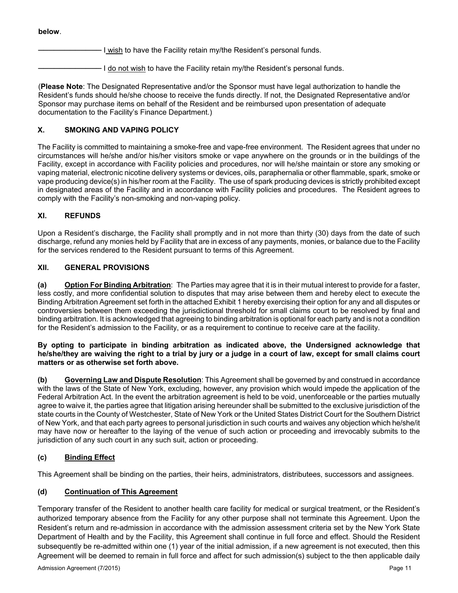#### **below**.

I wish to have the Facility retain my/the Resident's personal funds.

 $\cdot$  I do not wish to have the Facility retain my/the Resident's personal funds.

(**Please Note**: The Designated Representative and/or the Sponsor must have legal authorization to handle the Resident's funds should he/she choose to receive the funds directly. If not, the Designated Representative and/or Sponsor may purchase items on behalf of the Resident and be reimbursed upon presentation of adequate documentation to the Facility's Finance Department.)

# **X. SMOKING AND VAPING POLICY**

The Facility is committed to maintaining a smoke-free and vape-free environment. The Resident agrees that under no circumstances will he/she and/or his/her visitors smoke or vape anywhere on the grounds or in the buildings of the Facility, except in accordance with Facility policies and procedures, nor will he/she maintain or store any smoking or vaping material, electronic nicotine delivery systems or devices, oils, paraphernalia or other flammable, spark, smoke or vape producing device(s) in his/her room at the Facility. The use of spark producing devices is strictly prohibited except in designated areas of the Facility and in accordance with Facility policies and procedures. The Resident agrees to comply with the Facility's non-smoking and non-vaping policy.

# **XI. REFUNDS**

Upon a Resident's discharge, the Facility shall promptly and in not more than thirty (30) days from the date of such discharge, refund any monies held by Facility that are in excess of any payments, monies, or balance due to the Facility for the services rendered to the Resident pursuant to terms of this Agreement.

# **XII. GENERAL PROVISIONS**

**(a) Option For Binding Arbitration**: The Parties may agree that it is in their mutual interest to provide for a faster, less costly, and more confidential solution to disputes that may arise between them and hereby elect to execute the Binding Arbitration Agreement set forth in the attached Exhibit 1 hereby exercising their option for any and all disputes or controversies between them exceeding the jurisdictional threshold for small claims court to be resolved by final and binding arbitration. It is acknowledged that agreeing to binding arbitration is optional for each party and is not a condition for the Resident's admission to the Facility, or as a requirement to continue to receive care at the facility.

#### **By opting to participate in binding arbitration as indicated above, the Undersigned acknowledge that he/she/they are waiving the right to a trial by jury or a judge in a court of law, except for small claims court matters or as otherwise set forth above.**

**(b) Governing Law and Dispute Resolution**: This Agreement shall be governed by and construed in accordance with the laws of the State of New York, excluding, however, any provision which would impede the application of the Federal Arbitration Act. In the event the arbitration agreement is held to be void, unenforceable or the parties mutually agree to waive it, the parties agree that litigation arising hereunder shall be submitted to the exclusive jurisdiction of the state courts in the County of Westchester, State of New York or the United States District Court for the Southern District of New York, and that each party agrees to personal jurisdiction in such courts and waives any objection which he/she/it may have now or hereafter to the laying of the venue of such action or proceeding and irrevocably submits to the jurisdiction of any such court in any such suit, action or proceeding.

# **(c) Binding Effect**

This Agreement shall be binding on the parties, their heirs, administrators, distributees, successors and assignees.

# **(d) Continuation of This Agreement**

Temporary transfer of the Resident to another health care facility for medical or surgical treatment, or the Resident's authorized temporary absence from the Facility for any other purpose shall not terminate this Agreement. Upon the Resident's return and re-admission in accordance with the admission assessment criteria set by the New York State Department of Health and by the Facility, this Agreement shall continue in full force and effect. Should the Resident subsequently be re-admitted within one (1) year of the initial admission, if a new agreement is not executed, then this Agreement will be deemed to remain in full force and affect for such admission(s) subject to the then applicable daily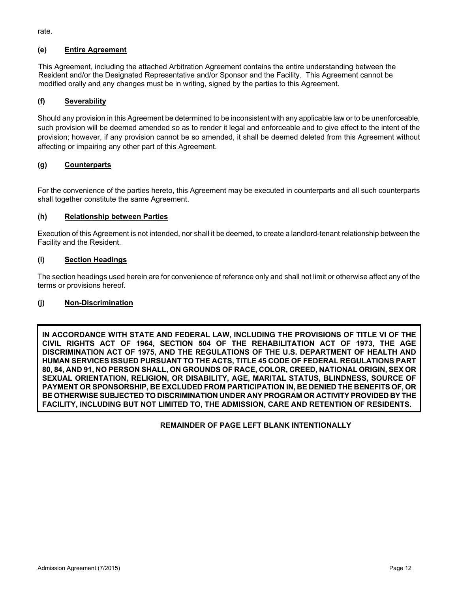rate.

# **(e) Entire Agreement**

This Agreement, including the attached Arbitration Agreement contains the entire understanding between the Resident and/or the Designated Representative and/or Sponsor and the Facility. This Agreement cannot be modified orally and any changes must be in writing, signed by the parties to this Agreement.

# **(f) Severability**

Should any provision in this Agreement be determined to be inconsistent with any applicable law or to be unenforceable, such provision will be deemed amended so as to render it legal and enforceable and to give effect to the intent of the provision; however, if any provision cannot be so amended, it shall be deemed deleted from this Agreement without affecting or impairing any other part of this Agreement.

## **(g) Counterparts**

For the convenience of the parties hereto, this Agreement may be executed in counterparts and all such counterparts shall together constitute the same Agreement.

## **(h) Relationship between Parties**

Execution of this Agreement is not intended, nor shall it be deemed, to create a landlord-tenant relationship between the Facility and the Resident.

#### **(i) Section Headings**

The section headings used herein are for convenience of reference only and shall not limit or otherwise affect any of the terms or provisions hereof.

## **(j) Non-Discrimination**

**IN ACCORDANCE WITH STATE AND FEDERAL LAW, INCLUDING THE PROVISIONS OF TITLE VI OF THE CIVIL RIGHTS ACT OF 1964, SECTION 504 OF THE REHABILITATION ACT OF 1973, THE AGE DISCRIMINATION ACT OF 1975, AND THE REGULATIONS OF THE U.S. DEPARTMENT OF HEALTH AND HUMAN SERVICES ISSUED PURSUANT TO THE ACTS, TITLE 45 CODE OF FEDERAL REGULATIONS PART 80, 84, AND 91, NO PERSON SHALL, ON GROUNDS OF RACE, COLOR, CREED, NATIONAL ORIGIN, SEX OR SEXUAL ORIENTATION, RELIGION, OR DISABILITY, AGE, MARITAL STATUS, BLINDNESS, SOURCE OF PAYMENT OR SPONSORSHIP, BE EXCLUDED FROM PARTICIPATION IN, BE DENIED THE BENEFITS OF, OR BE OTHERWISE SUBJECTED TO DISCRIMINATION UNDER ANY PROGRAM OR ACTIVITY PROVIDED BY THE FACILITY, INCLUDING BUT NOT LIMITED TO, THE ADMISSION, CARE AND RETENTION OF RESIDENTS.**

 **REMAINDER OF PAGE LEFT BLANK INTENTIONALLY**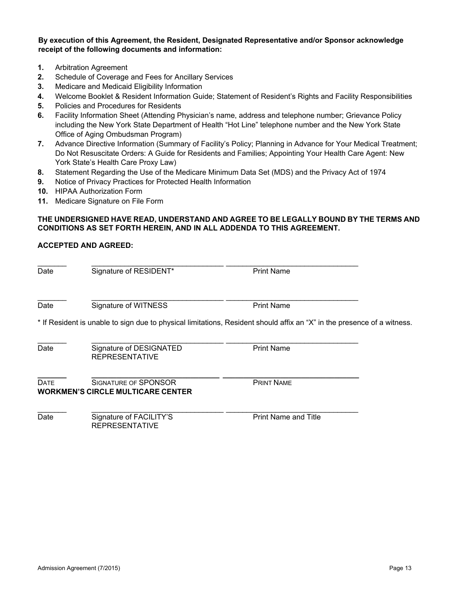**By execution of this Agreement, the Resident, Designated Representative and/or Sponsor acknowledge receipt of the following documents and information:**

- **1.** Arbitration Agreement
- **2.** Schedule of Coverage and Fees for Ancillary Services
- **3.** Medicare and Medicaid Eligibility Information
- **4.** Welcome Booklet & Resident Information Guide; Statement of Resident's Rights and Facility Responsibilities
- **5.** Policies and Procedures for Residents
- **6.** Facility Information Sheet (Attending Physician's name, address and telephone number; Grievance Policy including the New York State Department of Health "Hot Line" telephone number and the New York State Office of Aging Ombudsman Program)
- **7.** Advance Directive Information (Summary of Facility's Policy; Planning in Advance for Your Medical Treatment; Do Not Resuscitate Orders: A Guide for Residents and Families; Appointing Your Health Care Agent: New York State's Health Care Proxy Law)
- **8.** Statement Regarding the Use of the Medicare Minimum Data Set (MDS) and the Privacy Act of 1974
- **9.** Notice of Privacy Practices for Protected Health Information

REPRESENTATIVE

- **10.** HIPAA Authorization Form
- **11.** Medicare Signature on File Form

#### **THE UNDERSIGNED HAVE READ, UNDERSTAND AND AGREE TO BE LEGALLY BOUND BY THE TERMS AND CONDITIONS AS SET FORTH HEREIN, AND IN ALL ADDENDA TO THIS AGREEMENT.**

#### **ACCEPTED AND AGREED:**

| Date        | Signature of RESIDENT*                                           | <b>Print Name</b>                                                                                                       |  |
|-------------|------------------------------------------------------------------|-------------------------------------------------------------------------------------------------------------------------|--|
| Date        | Signature of WITNESS                                             | <b>Print Name</b>                                                                                                       |  |
|             |                                                                  | * If Resident is unable to sign due to physical limitations, Resident should affix an "X" in the presence of a witness. |  |
| Date        | Signature of DESIGNATED<br><b>REPRESENTATIVE</b>                 | <b>Print Name</b>                                                                                                       |  |
| <b>DATE</b> | SIGNATURE OF SPONSOR<br><b>WORKMEN'S CIRCLE MULTICARE CENTER</b> | <b>PRINT NAME</b>                                                                                                       |  |
| Date        | Signature of FACILITY'S                                          | <b>Print Name and Title</b>                                                                                             |  |

Admission Agreement (7/2015) **Page 13**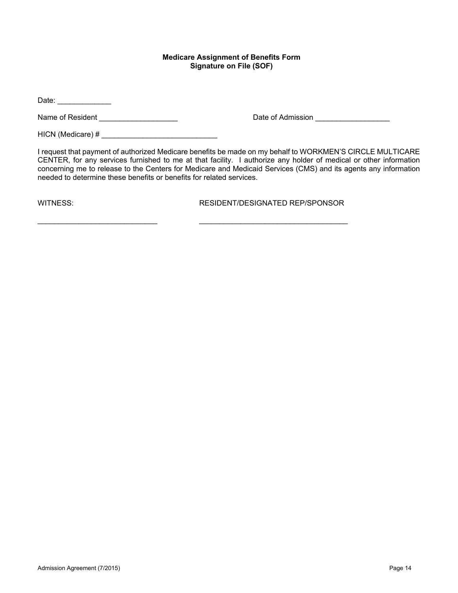#### **Medicare Assignment of Benefits Form Signature on File (SOF)**

Date: \_\_\_\_\_\_\_\_\_\_\_\_\_

Name of Resident \_\_\_\_\_\_\_\_\_\_\_\_\_\_\_\_\_\_\_ Date of Admission \_\_\_\_\_\_\_\_\_\_\_\_\_\_\_\_\_\_

HICN (Medicare) # \_\_\_\_\_\_\_\_\_\_\_\_\_\_\_\_\_\_\_\_\_\_\_\_\_\_\_\_

I request that payment of authorized Medicare benefits be made on my behalf to WORKMEN'S CIRCLE MULTICARE CENTER, for any services furnished to me at that facility. I authorize any holder of medical or other information concerning me to release to the Centers for Medicare and Medicaid Services (CMS) and its agents any information needed to determine these benefits or benefits for related services.

WITNESS: RESIDENT/DESIGNATED REP/SPONSOR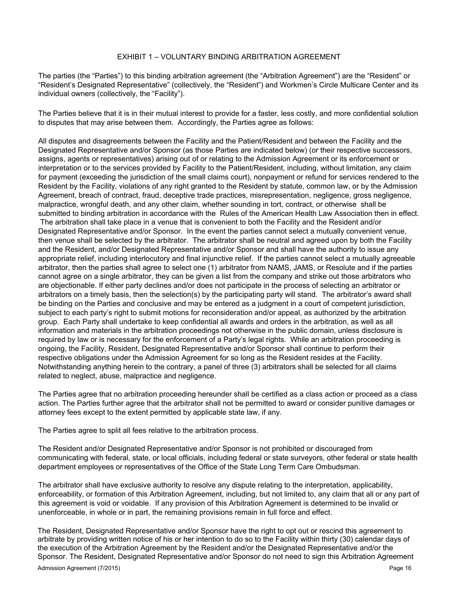#### EXHIBIT 1 – VOLUNTARY BINDING ARBITRATION AGREEMENT

The parties (the "Parties") to this binding arbitration agreement (the "Arbitration Agreement") are the "Resident" or "Resident's Designated Representative" (collectively, the "Resident") and Workmen's Circle Multicare Center and its individual owners (collectively, the "Facility").

The Parties believe that it is in their mutual interest to provide for a faster, less costly, and more confidential solution to disputes that may arise between them. Accordingly, the Parties agree as follows:

All disputes and disagreements between the Facility and the Patient/Resident and between the Facility and the Designated Representative and/or Sponsor (as those Parties are indicated below) (or their respective successors, assigns, agents or representatives) arising out of or relating to the Admission Agreement or its enforcement or interpretation or to the services provided by Facility to the Patient/Resident, including, without limitation, any claim for payment (exceeding the jurisdiction of the small claims court), nonpayment or refund for services rendered to the Resident by the Facility, violations of any right granted to the Resident by statute, common law, or by the Admission Agreement, breach of contract, fraud, deceptive trade practices, misrepresentation, negligence, gross negligence, malpractice, wrongful death, and any other claim, whether sounding in tort, contract, or otherwise shall be submitted to binding arbitration in accordance with the Rules of the American Health Law Association then in effect. The arbitration shall take place in a venue that is convenient to both the Facility and the Resident and/or Designated Representative and/or Sponsor. In the event the parties cannot select a mutually convenient venue, then venue shall be selected by the arbitrator. The arbitrator shall be neutral and agreed upon by both the Facility and the Resident, and/or Designated Representative and/or Sponsor and shall have the authority to issue any appropriate relief, including interlocutory and final injunctive relief. If the parties cannot select a mutually agreeable arbitrator, then the parties shall agree to select one (1) arbitrator from NAMS, JAMS, or Resolute and if the parties cannot agree on a single arbitrator, they can be given a list from the company and strike out those arbitrators who are objectionable. If either party declines and/or does not participate in the process of selecting an arbitrator or arbitrators on a timely basis, then the selection(s) by the participating party will stand. The arbitrator's award shall be binding on the Parties and conclusive and may be entered as a judgment in a court of competent jurisdiction, subject to each party's right to submit motions for reconsideration and/or appeal, as authorized by the arbitration group. Each Party shall undertake to keep confidential all awards and orders in the arbitration, as well as all information and materials in the arbitration proceedings not otherwise in the public domain, unless disclosure is required by law or is necessary for the enforcement of a Party's legal rights. While an arbitration proceeding is ongoing, the Facility, Resident, Designated Representative and/or Sponsor shall continue to perform their respective obligations under the Admission Agreement for so long as the Resident resides at the Facility. Notwithstanding anything herein to the contrary, a panel of three (3) arbitrators shall be selected for all claims related to neglect, abuse, malpractice and negligence.

The Parties agree that no arbitration proceeding hereunder shall be certified as a class action or proceed as a class action. The Parties further agree that the arbitrator shall not be permitted to award or consider punitive damages or attorney fees except to the extent permitted by applicable state law, if any.

The Parties agree to split all fees relative to the arbitration process.

The Resident and/or Designated Representative and/or Sponsor is not prohibited or discouraged from communicating with federal, state, or local officials, including federal or state surveyors, other federal or state health department employees or representatives of the Office of the State Long Term Care Ombudsman.

The arbitrator shall have exclusive authority to resolve any dispute relating to the interpretation, applicability, enforceability, or formation of this Arbitration Agreement, including, but not limited to, any claim that all or any part of this agreement is void or voidable. If any provision of this Arbitration Agreement is determined to be invalid or unenforceable, in whole or in part, the remaining provisions remain in full force and effect.

The Resident, Designated Representative and/or Sponsor have the right to opt out or rescind this agreement to arbitrate by providing written notice of his or her intention to do so to the Facility within thirty (30) calendar days of the execution of the Arbitration Agreement by the Resident and/or the Designated Representative and/or the Sponsor. The Resident, Designated Representative and/or Sponsor do not need to sign this Arbitration Agreement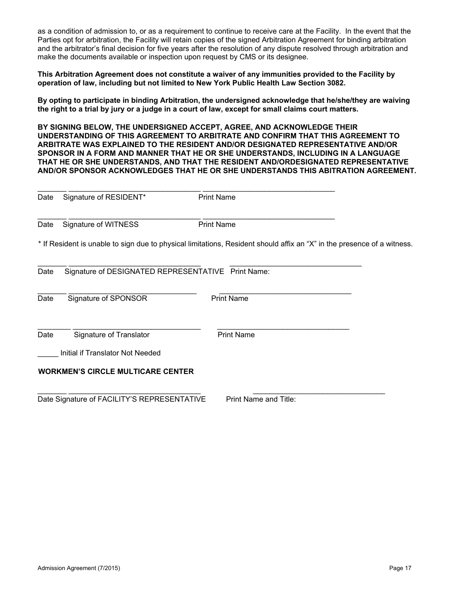as a condition of admission to, or as a requirement to continue to receive care at the Facility. In the event that the Parties opt for arbitration, the Facility will retain copies of the signed Arbitration Agreement for binding arbitration and the arbitrator's final decision for five years after the resolution of any dispute resolved through arbitration and make the documents available or inspection upon request by CMS or its designee.

**This Arbitration Agreement does not constitute a waiver of any immunities provided to the Facility by operation of law, including but not limited to New York Public Health Law Section 3082.** 

**By opting to participate in binding Arbitration, the undersigned acknowledge that he/she/they are waiving the right to a trial by jury or a judge in a court of law, except for small claims court matters.**

**BY SIGNING BELOW, THE UNDERSIGNED ACCEPT, AGREE, AND ACKNOWLEDGE THEIR UNDERSTANDING OF THIS AGREEMENT TO ARBITRATE AND CONFIRM THAT THIS AGREEMENT TO ARBITRATE WAS EXPLAINED TO THE RESIDENT AND/OR DESIGNATED REPRESENTATIVE AND/OR SPONSOR IN A FORM AND MANNER THAT HE OR SHE UNDERSTANDS, INCLUDING IN A LANGUAGE THAT HE OR SHE UNDERSTANDS, AND THAT THE RESIDENT AND/ORDESIGNATED REPRESENTATIVE AND/OR SPONSOR ACKNOWLEDGES THAT HE OR SHE UNDERSTANDS THIS ABITRATION AGREEMENT.** 

| Date                                     | Signature of RESIDENT*                                                                                                  | <b>Print Name</b>     |  |  |  |  |
|------------------------------------------|-------------------------------------------------------------------------------------------------------------------------|-----------------------|--|--|--|--|
| Date                                     | Signature of WITNESS                                                                                                    | <b>Print Name</b>     |  |  |  |  |
|                                          | * If Resident is unable to sign due to physical limitations, Resident should affix an "X" in the presence of a witness. |                       |  |  |  |  |
| Date                                     | Signature of DESIGNATED REPRESENTATIVE Print Name:                                                                      |                       |  |  |  |  |
| Date                                     | Signature of SPONSOR                                                                                                    | <b>Print Name</b>     |  |  |  |  |
| Date                                     | Signature of Translator                                                                                                 | <b>Print Name</b>     |  |  |  |  |
| Initial if Translator Not Needed         |                                                                                                                         |                       |  |  |  |  |
| <b>WORKMEN'S CIRCLE MULTICARE CENTER</b> |                                                                                                                         |                       |  |  |  |  |
|                                          | Date Signature of FACILITY'S REPRESENTATIVE                                                                             | Print Name and Title: |  |  |  |  |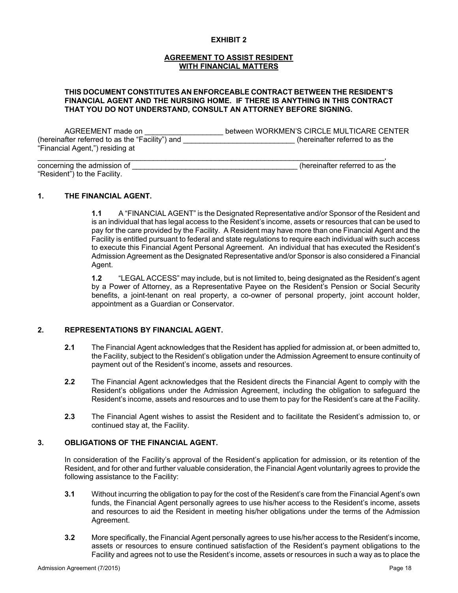#### **EXHIBIT 2**

#### **AGREEMENT TO ASSIST RESIDENT WITH FINANCIAL MATTERS**

#### **THIS DOCUMENT CONSTITUTES AN ENFORCEABLE CONTRACT BETWEEN THE RESIDENT'S FINANCIAL AGENT AND THE NURSING HOME. IF THERE IS ANYTHING IN THIS CONTRACT THAT YOU DO NOT UNDERSTAND, CONSULT AN ATTORNEY BEFORE SIGNING.**

AGREEMENT made on  $\blacksquare$  between WORKMEN'S CIRCLE MULTICARE CENTER (hereinafter referred to as the "Facility") and \_\_\_\_\_\_\_\_\_\_\_\_\_\_\_\_\_\_\_\_\_\_\_\_\_\_\_ (hereinafter referred to as the "Financial Agent,") residing at

| concerning the admission of  | (hereinafter referred to as the |
|------------------------------|---------------------------------|
| "Resident") to the Facility. |                                 |

#### **1. THE FINANCIAL AGENT.**

**1.1** A "FINANCIAL AGENT" is the Designated Representative and/or Sponsor of the Resident and is an individual that has legal access to the Resident's income, assets or resources that can be used to pay for the care provided by the Facility. A Resident may have more than one Financial Agent and the Facility is entitled pursuant to federal and state regulations to require each individual with such access to execute this Financial Agent Personal Agreement. An individual that has executed the Resident's Admission Agreement as the Designated Representative and/or Sponsor is also considered a Financial Agent.

**1.2** "LEGAL ACCESS" may include, but is not limited to, being designated as the Resident's agent by a Power of Attorney, as a Representative Payee on the Resident's Pension or Social Security benefits, a joint-tenant on real property, a co-owner of personal property, joint account holder, appointment as a Guardian or Conservator.

#### **2. REPRESENTATIONS BY FINANCIAL AGENT.**

- **2.1** The Financial Agent acknowledges that the Resident has applied for admission at, or been admitted to, the Facility, subject to the Resident's obligation under the Admission Agreement to ensure continuity of payment out of the Resident's income, assets and resources.
- **2.2** The Financial Agent acknowledges that the Resident directs the Financial Agent to comply with the Resident's obligations under the Admission Agreement, including the obligation to safeguard the Resident's income, assets and resources and to use them to pay for the Resident's care at the Facility.
- **2.3** The Financial Agent wishes to assist the Resident and to facilitate the Resident's admission to, or continued stay at, the Facility.

#### **3. OBLIGATIONS OF THE FINANCIAL AGENT.**

In consideration of the Facility's approval of the Resident's application for admission, or its retention of the Resident, and for other and further valuable consideration, the Financial Agent voluntarily agrees to provide the following assistance to the Facility:

- **3.1** Without incurring the obligation to pay for the cost of the Resident's care from the Financial Agent's own funds, the Financial Agent personally agrees to use his/her access to the Resident's income, assets and resources to aid the Resident in meeting his/her obligations under the terms of the Admission Agreement.
- **3.2** More specifically, the Financial Agent personally agrees to use his/her access to the Resident's income, assets or resources to ensure continued satisfaction of the Resident's payment obligations to the Facility and agrees not to use the Resident's income, assets or resources in such a way as to place the